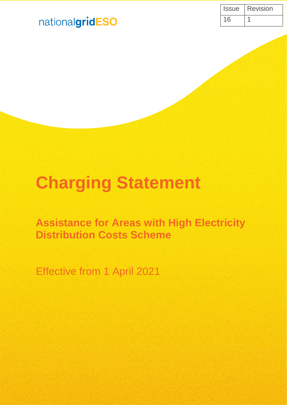| Issue | <b>Revision</b> |
|-------|-----------------|
| 16    |                 |

## nationalgridESO

# **Charging Statement**

**Assistance for Areas with High Electricity Distribution Costs Scheme**

Effective from 1 April 2021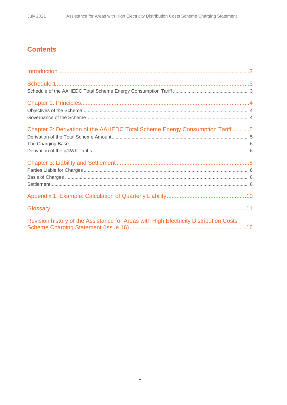## **Contents**

| Chapter 2: Derivation of the AAHEDC Total Scheme Energy Consumption Tariff5           |  |
|---------------------------------------------------------------------------------------|--|
|                                                                                       |  |
|                                                                                       |  |
|                                                                                       |  |
| Revision history of the Assistance for Areas with High Electricity Distribution Costs |  |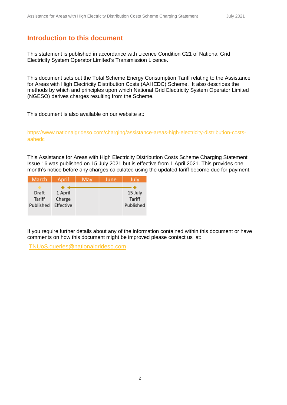### **Introduction to this document**

This statement is published in accordance with Licence Condition C21 of National Grid Electricity System Operator Limited's Transmission Licence.

This document sets out the Total Scheme Energy Consumption Tariff relating to the Assistance for Areas with High Electricity Distribution Costs (AAHEDC) Scheme. It also describes the methods by which and principles upon which National Grid Electricity System Operator Limited (NGESO) derives charges resulting from the Scheme.

This document is also available on our website at:

[https://www.nationalgrideso.com/charging/assistance-areas-high-electricity-distribution-costs](https://www.nationalgrideso.com/charging/assistance-areas-high-electricity-distribution-costs-aahedc)[aahedc](https://www.nationalgrideso.com/charging/assistance-areas-high-electricity-distribution-costs-aahedc)

This Assistance for Areas with High Electricity Distribution Costs Scheme Charging Statement Issue 16 was published on 15 July 2021 but is effective from 1 April 2021. This provides one month's notice before any charges calculated using the updated tariff become due for payment.

| March     | April     | May | June | July      |
|-----------|-----------|-----|------|-----------|
|           |           |     |      |           |
| Draft     | 1 April   |     |      | 15 July   |
| Tariff    | Charge    |     |      | Tariff    |
| Published | Effective |     |      | Published |
|           |           |     |      |           |

If you require further details about any of the information contained within this document or have comments on how this document might be improved please contact us at:

[TNUoS.queries@nationalgrideso.com](mailto:TNUoS.queries@nationalgrideso.com)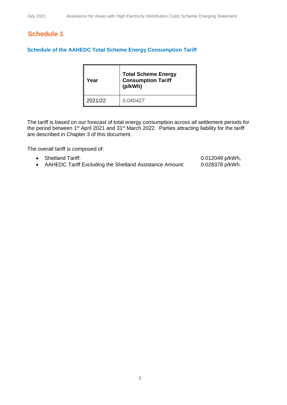## **Schedule 1**

#### **Schedule of the AAHEDC Total Scheme Energy Consumption Tariff**

 $\mathbf{r}$ 

| Year    | <b>Total Scheme Energy</b><br><b>Consumption Tariff</b><br>(p/kWh) |
|---------|--------------------------------------------------------------------|
| 2021/22 | 0.040427                                                           |

The tariff is based on our forecast of total energy consumption across all settlement periods for the period between 1<sup>st</sup> April 2021 and 31<sup>st</sup> March 2022. Parties attracting liability for the tariff are described in Chapter 3 of this document.

The overall tariff is composed of:

- Shetland Tariff: 0.012049 p/kWh,
- AAHEDC Tariff Excluding the Shetland Assistance Amount: 0.028378 p/kWh.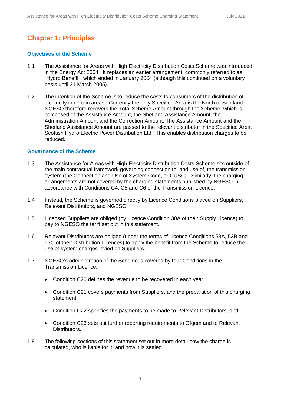## **Chapter 1: Principles**

#### **Objectives of the Scheme**

- 1.1 The Assistance for Areas with High Electricity Distribution Costs Scheme was introduced in the Energy Act 2004. It replaces an earlier arrangement, commonly referred to as "Hydro Benefit", which ended in January 2004 (although this continued on a voluntary basis until 31 March 2005).
- 1.2 The intention of the Scheme is to reduce the costs to consumers of the distribution of electricity in certain areas. Currently the only Specified Area is the North of Scotland. NGESO therefore recovers the Total Scheme Amount through the Scheme, which is composed of the Assistance Amount, the Shetland Assistance Amount, the Administration Amount and the Correction Amount. The Assistance Amount and the Shetland Assistance Amount are passed to the relevant distributor in the Specified Area, Scottish Hydro Electric Power Distribution Ltd. This enables distribution charges to be reduced.

#### **Governance of the Scheme**

- 1.3 The Assistance for Areas with High Electricity Distribution Costs Scheme sits outside of the main contractual framework governing connection to, and use of, the transmission system (the Connection and Use of System Code, or CUSC). Similarly, the charging arrangements are not covered by the charging statements published by NGESO in accordance with Conditions C4, C5 and C6 of the Transmission Licence.
- 1.4 Instead, the Scheme is governed directly by Licence Conditions placed on Suppliers, Relevant Distributors, and NGESO.
- 1.5 Licensed Suppliers are obliged (by Licence Condition 30A of their Supply Licence) to pay to NGESO the tariff set out in this statement.
- 1.6 Relevant Distributors are obliged (under the terms of Licence Conditions 53A, 53B and 53C of their Distribution Licences) to apply the benefit from the Scheme to reduce the use of system charges levied on Suppliers.
- 1.7 NGESO's administration of the Scheme is covered by four Conditions in the Transmission Licence:
	- Condition C20 defines the revenue to be recovered in each year;
	- Condition C21 covers payments from Suppliers, and the preparation of this charging statement;
	- Condition C22 specifies the payments to be made to Relevant Distributors; and
	- Condition C23 sets out further reporting requirements to Ofgem and to Relevant Distributors.
- 1.8 The following sections of this statement set out in more detail how the charge is calculated, who is liable for it, and how it is settled.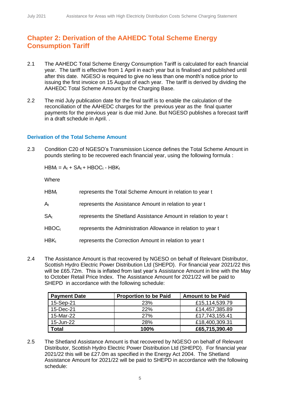## **Chapter 2: Derivation of the AAHEDC Total Scheme Energy Consumption Tariff**

- 2.1 The AAHEDC Total Scheme Energy Consumption Tariff is calculated for each financial year. The tariff is effective from 1 April in each year but is finalised and published until after this date. NGESO is required to give no less than one month's notice prior to issuing the first invoice on 15 August of each year. The tariff is derived by dividing the AAHEDC Total Scheme Amount by the Charging Base.
- 2.2 The mid July publication date for the final tariff is to enable the calculation of the reconciliation of the AAHEDC charges for the previous year as the final quarter payments for the previous year is due mid June. But NGESO publishes a forecast tariff in a draft schedule in April. .

#### **Derivation of the Total Scheme Amount**

2.3 Condition C20 of NGESO's Transmission Licence defines the Total Scheme Amount in pounds sterling to be recovered each financial year, using the following formula :

 $HBM_t = A_t + SA_t + HBOC_t - HBK_t$ 

**Where** 

| $HBM_t$                 | represents the Total Scheme Amount in relation to year t        |
|-------------------------|-----------------------------------------------------------------|
| $\mathsf{A}_\mathsf{t}$ | represents the Assistance Amount in relation to year t          |
| SA <sub>t</sub>         | represents the Shetland Assistance Amount in relation to year t |
| HBOC <sub>t</sub>       | represents the Administration Allowance in relation to year t   |
| $HBK_t$                 | represents the Correction Amount in relation to year t          |

2.4 The Assistance Amount is that recovered by NGESO on behalf of Relevant Distributor, Scottish Hydro Electric Power Distribution Ltd (SHEPD). For financial year 2021/22 this will be £65.72m. This is inflated from last year's Assistance Amount in line with the May to October Retail Price Index. The Assistance Amount for 2021/22 will be paid to SHEPD in accordance with the following schedule:

| <b>Payment Date</b> | <b>Proportion to be Paid</b> | <b>Amount to be Paid</b> |
|---------------------|------------------------------|--------------------------|
| 15-Sep-21           | 23%                          | £15,114,539.79           |
| 15-Dec-21           | 22%                          | £14,457,385.89           |
| 15-Mar-22           | 27%                          | £17,743,155.41           |
| 15-Jun-22           | <b>28%</b>                   | £18,400,309.31           |
| Total               | 100%                         | £65,715,390.40           |

2.5 The Shetland Assistance Amount is that recovered by NGESO on behalf of Relevant Distributor, Scottish Hydro Electric Power Distribution Ltd (SHEPD). For financial year 2021/22 this will be £27.0m as specified in the Energy Act 2004. The Shetland Assistance Amount for 2021/22 will be paid to SHEPD in accordance with the following schedule: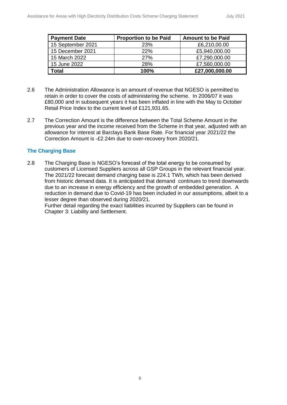| <b>Payment Date</b> | <b>Proportion to be Paid</b> | <b>Amount to be Paid</b> |
|---------------------|------------------------------|--------------------------|
| 15 September 2021   | 23%                          | £6,210,00.00             |
| 15 December 2021    | <b>22%</b>                   | £5,940,000.00            |
| 15 March 2022       | <b>27%</b>                   | £7,290,000.00            |
| 15 June 2022        | 28%                          | £7,560,000.00            |
| Total               | 100%                         | £27,000,000.00           |

- 2.6 The Administration Allowance is an amount of revenue that NGESO is permitted to retain in order to cover the costs of administering the scheme. In 2006/07 it was £80,000 and in subsequent years it has been inflated in line with the May to October Retail Price Index to the current level of £121,931.65.
- 2.7 The Correction Amount is the difference between the Total Scheme Amount in the previous year and the income received from the Scheme in that year, adjusted with an allowance for interest at Barclays Bank Base Rate. For financial year 2021/22 the Correction Amount is -£2.24m due to over-recovery from 2020/21.

#### **The Charging Base**

2.8 The Charging Base is NGESO's forecast of the total energy to be consumed by customers of Licensed Suppliers across all GSP Groups in the relevant financial year. The 2021/22 forecast demand charging base is 224.1 TWh, which has been derived from historic demand data. It is anticipated that demand continues to trend downwards due to an increase in energy efficiency and the growth of embedded generation. A reduction in demand due to Covid-19 has been included in our assumptions, albeit to a lesser degree than observed during 2020/21.

Further detail regarding the exact liabilities incurred by Suppliers can be found in Chapter 3: Liability and Settlement.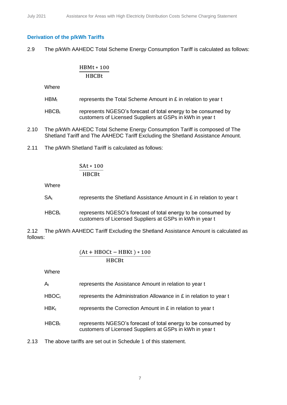#### **Derivation of the p/kWh Tariffs**

2.9 The p/kWh AAHEDC Total Scheme Energy Consumption Tariff is calculated as follows:

#### HBMt ∗ 100 HBCBt

**Where** 

- HBM<sub>t</sub> represents the Total Scheme Amount in  $E$  in relation to year t
- $HBCB<sub>t</sub>$  represents NGESO's forecast of total energy to be consumed by customers of Licensed Suppliers at GSPs in kWh in year t
- 2.10 The p/kWh AAHEDC Total Scheme Energy Consumption Tariff is composed of The Shetland Tariff and The AAHEDC Tariff Excluding the Shetland Assistance Amount.
- 2.11 The p/kWh Shetland Tariff is calculated as follows:

SAt ∗ 100 HBCBt

**Where** 

| $SA_t$ | represents the Shetland Assistance Amount in £ in relation to year t |
|--------|----------------------------------------------------------------------|
|        |                                                                      |
| IIDOD  | $\mathbf{L}$                                                         |

 $HBCB<sub>t</sub>$  represents NGESO's forecast of total energy to be consumed by customers of Licensed Suppliers at GSPs in kWh in year t

2.12 The p/kWh AAHEDC Tariff Excluding the Shetland Assistance Amount is calculated as follows:

$$
\frac{(At + HBOct - HBKt) * 100}{HBCBt}
$$

**Where** 

|  | $A_t$ | represents the Assistance Amount in relation to year t |
|--|-------|--------------------------------------------------------|
|--|-------|--------------------------------------------------------|

- HBOC<sub>t</sub> represents the Administration Allowance in  $E$  in relation to year t
- $HBK_t$  represents the Correction Amount in  $E$  in relation to year t
- $HBCB<sub>t</sub>$  represents NGESO's forecast of total energy to be consumed by customers of Licensed Suppliers at GSPs in kWh in year t

2.13 The above tariffs are set out in Schedule 1 of this statement.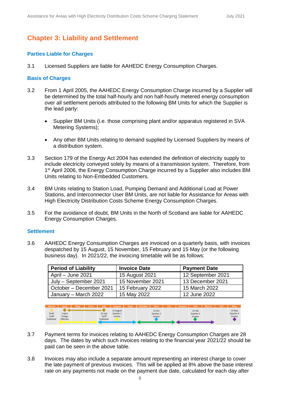## **Chapter 3: Liability and Settlement**

#### **Parties Liable for Charges**

3.1 Licensed Suppliers are liable for AAHEDC Energy Consumption Charges.

#### **Basis of Charges**

- 3.2 From 1 April 2005, the AAHEDC Energy Consumption Charge incurred by a Supplier will be determined by the total half-hourly and non half-hourly metered energy consumption over all settlement periods attributed to the following BM Units for which the Supplier is the lead party:
	- Supplier BM Units (i.e. those comprising plant and/or apparatus registered in SVA Metering Systems);
	- Any other BM Units relating to demand supplied by Licensed Suppliers by means of a distribution system.
- 3.3 Section 179 of the Energy Act 2004 has extended the definition of electricity supply to include electricity conveyed solely by means of a transmission system. Therefore, from 1<sup>st</sup> April 2006, the Energy Consumption Charge incurred by a Supplier also includes BM Units relating to Non-Embedded Customers.
- 3.4 BM Units relating to Station Load, Pumping Demand and Additional Load at Power Stations, and Interconnector User BM Units, are not liable for Assistance for Areas with High Electricity Distribution Costs Scheme Energy Consumption Charges.
- 3.5 For the avoidance of doubt, BM Units in the North of Scotland are liable for AAHEDC Energy Consumption Charges.

#### **Settlement**

3.6 AAHEDC Energy Consumption Charges are invoiced on a quarterly basis, with invoices despatched by 15 August, 15 November, 15 February and 15 May (or the following business day). In 2021/22, the invoicing timetable will be as follows:

| <b>Period of Liability</b> | <b>Invoice Date</b> | <b>Payment Date</b> |
|----------------------------|---------------------|---------------------|
| April - June 2021          | 15 August 2021      | 12 September 2021   |
| July - September 2021      | 15 November 2021    | 13 December 2021    |
| October - December 2021    | 15 February 2022    | 15 March 2022       |
| January – March 2022       | 15 May 2022         | 12 June 2022        |



- 3.7 Payment terms for invoices relating to AAHEDC Energy Consumption Charges are 28 days. The dates by which such invoices relating to the financial year 2021/22 should be paid can be seen in the above table.
- 3.8 Invoices may also include a separate amount representing an interest charge to cover the late payment of previous invoices. This will be applied at 8% above the base interest rate on any payments not made on the payment due date, calculated for each day after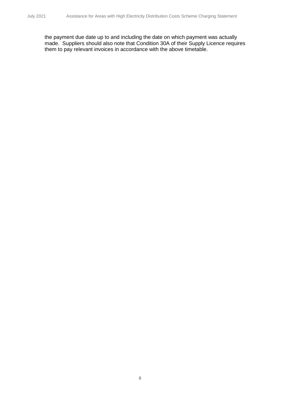the payment due date up to and including the date on which payment was actually made. Suppliers should also note that Condition 30A of their Supply Licence requires them to pay relevant invoices in accordance with the above timetable.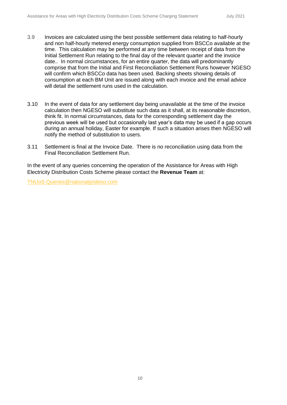- 3.9 Invoices are calculated using the best possible settlement data relating to half-hourly and non half-hourly metered energy consumption supplied from BSCCo available at the time. This calculation may be performed at any time between receipt of data from the Initial Settlement Run relating to the final day of the relevant quarter and the invoice date.. In normal circumstances, for an entire quarter, the data will predominantly comprise that from the Initial and First Reconciliation Settlement Runs however NGESO will confirm which BSCCo data has been used. Backing sheets showing details of consumption at each BM Unit are issued along with each invoice and the email advice will detail the settlement runs used in the calculation.
- 3.10 In the event of data for any settlement day being unavailable at the time of the invoice calculation then NGESO will substitute such data as it shall, at its reasonable discretion, think fit. In normal circumstances, data for the corresponding settlement day the previous week will be used but occasionally last year's data may be used if a gap occurs during an annual holiday, Easter for example. If such a situation arises then NGESO will notify the method of substitution to users.
- 3.11 Settlement is final at the Invoice Date. There is no reconciliation using data from the Final Reconciliation Settlement Run.

In the event of any queries concerning the operation of the Assistance for Areas with High Electricity Distribution Costs Scheme please contact the **Revenue Team** at:

[TNUoS.Queries@nationalgrideso.com](mailto:TNUoS.Queries@nationalgrideso.com)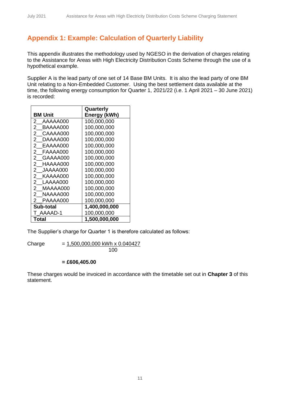## **Appendix 1: Example: Calculation of Quarterly Liability**

This appendix illustrates the methodology used by NGESO in the derivation of charges relating to the Assistance for Areas with High Electricity Distribution Costs Scheme through the use of a hypothetical example.

Supplier A is the lead party of one set of 14 Base BM Units. It is also the lead party of one BM Unit relating to a Non-Embedded Customer. Using the best settlement data available at the time, the following energy consumption for Quarter 1, 2021/22 (i.e. 1 April 2021 – 30 June 2021) is recorded:

|                            | Quarterly     |
|----------------------------|---------------|
| <b>BM Unit</b>             | Energy (kWh)  |
| 2<br>AAAAA000              | 100,000,000   |
| 2<br>BAAAA000              | 100,000,000   |
| 2<br>CAAAA000              | 100,000,000   |
| 2<br>DAAAA000              | 100,000,000   |
| EAAAA000<br>2              | 100,000,000   |
| FAAAA000<br>2              | 100,000,000   |
| 2<br>GAAAA000              | 100,000,000   |
| 2<br>HAAAA000              | 100,000,000   |
| $\mathbf{2}$<br>JAAAA000   | 100,000,000   |
| 2 KAAAA000                 | 100,000,000   |
| 2 LAAAA000                 | 100,000,000   |
| $^{2}$<br>MAAAA000         | 100,000,000   |
| $\overline{2}$<br>NAAAA000 | 100,000,000   |
| PAAAA000<br>2              | 100,000,000   |
| Sub-total                  | 1,400,000,000 |
| T AAAAD-1                  | 100,000,000   |
| Total                      | 1,500,000,000 |

The Supplier's charge for Quarter 1 is therefore calculated as follows:

Charge  $= 1,500,000,000$  kWh x 0.040427 100

#### **= £606,405.00**

These charges would be invoiced in accordance with the timetable set out in **Chapter 3** of this statement.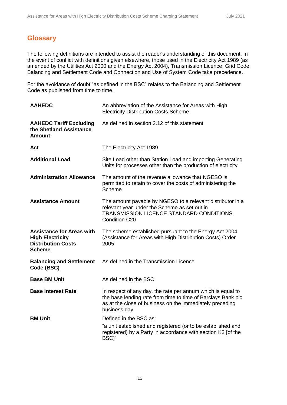## **Glossary**

The following definitions are intended to assist the reader's understanding of this document. In the event of conflict with definitions given elsewhere, those used in the Electricity Act 1989 (as amended by the Utilities Act 2000 and the Energy Act 2004), Transmission Licence, Grid Code, Balancing and Settlement Code and Connection and Use of System Code take precedence.

For the avoidance of doubt "as defined in the BSC" relates to the Balancing and Settlement Code as published from time to time.

| <b>AAHEDC</b>                                                                                             | An abbreviation of the Assistance for Areas with High<br><b>Electricity Distribution Costs Scheme</b>                                                                                                   |
|-----------------------------------------------------------------------------------------------------------|---------------------------------------------------------------------------------------------------------------------------------------------------------------------------------------------------------|
| <b>AAHEDC Tariff Excluding</b><br>the Shetland Assistance<br><b>Amount</b>                                | As defined in section 2.12 of this statement                                                                                                                                                            |
| <b>Act</b>                                                                                                | The Electricity Act 1989                                                                                                                                                                                |
| <b>Additional Load</b>                                                                                    | Site Load other than Station Load and importing Generating<br>Units for processes other than the production of electricity                                                                              |
| <b>Administration Allowance</b>                                                                           | The amount of the revenue allowance that NGESO is<br>permitted to retain to cover the costs of administering the<br>Scheme                                                                              |
| <b>Assistance Amount</b>                                                                                  | The amount payable by NGESO to a relevant distributor in a<br>relevant year under the Scheme as set out in<br>TRANSMISSION LICENCE STANDARD CONDITIONS<br>Condition C20                                 |
| <b>Assistance for Areas with</b><br><b>High Electricity</b><br><b>Distribution Costs</b><br><b>Scheme</b> | The scheme established pursuant to the Energy Act 2004<br>(Assistance for Areas with High Distribution Costs) Order<br>2005                                                                             |
| <b>Balancing and Settlement</b><br>Code (BSC)                                                             | As defined in the Transmission Licence                                                                                                                                                                  |
| <b>Base BM Unit</b>                                                                                       | As defined in the BSC                                                                                                                                                                                   |
| <b>Base Interest Rate</b>                                                                                 | In respect of any day, the rate per annum which is equal to<br>the base lending rate from time to time of Barclays Bank plc<br>as at the close of business on the immediately preceding<br>business day |
| <b>BM Unit</b>                                                                                            | Defined in the BSC as:<br>"a unit established and registered (or to be established and<br>registered) by a Party in accordance with section K3 [of the<br>BSC]"                                         |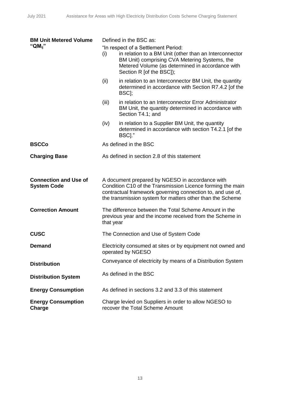| <b>BM Unit Metered Volume</b><br>"QM $_{ii}$ "     | (i)<br>(ii)           | Defined in the BSC as:<br>"In respect of a Settlement Period:<br>in relation to a BM Unit (other than an Interconnector<br>BM Unit) comprising CVA Metering Systems, the<br>Metered Volume (as determined in accordance with<br>Section R [of the BSC]);<br>in relation to an Interconnector BM Unit, the quantity |
|----------------------------------------------------|-----------------------|--------------------------------------------------------------------------------------------------------------------------------------------------------------------------------------------------------------------------------------------------------------------------------------------------------------------|
|                                                    |                       | determined in accordance with Section R7.4.2 [of the<br>BSC];                                                                                                                                                                                                                                                      |
|                                                    | (iii)                 | in relation to an Interconnector Error Administrator<br>BM Unit, the quantity determined in accordance with<br>Section T4.1; and                                                                                                                                                                                   |
|                                                    | (iv)                  | in relation to a Supplier BM Unit, the quantity<br>determined in accordance with section T4.2.1 [of the<br>BSC]."                                                                                                                                                                                                  |
| <b>BSCCo</b>                                       | As defined in the BSC |                                                                                                                                                                                                                                                                                                                    |
| <b>Charging Base</b>                               |                       | As defined in section 2.8 of this statement                                                                                                                                                                                                                                                                        |
|                                                    |                       |                                                                                                                                                                                                                                                                                                                    |
| <b>Connection and Use of</b><br><b>System Code</b> |                       | A document prepared by NGESO in accordance with<br>Condition C10 of the Transmission Licence forming the main<br>contractual framework governing connection to, and use of,<br>the transmission system for matters other than the Scheme                                                                           |
| <b>Correction Amount</b>                           | that year             | The difference between the Total Scheme Amount in the<br>previous year and the income received from the Scheme in                                                                                                                                                                                                  |
| <b>CUSC</b>                                        |                       | The Connection and Use of System Code                                                                                                                                                                                                                                                                              |
| <b>Demand</b>                                      |                       | Electricity consumed at sites or by equipment not owned and<br>operated by NGESO                                                                                                                                                                                                                                   |
| <b>Distribution</b>                                |                       | Conveyance of electricity by means of a Distribution System                                                                                                                                                                                                                                                        |
| <b>Distribution System</b>                         |                       | As defined in the BSC                                                                                                                                                                                                                                                                                              |
| <b>Energy Consumption</b>                          |                       | As defined in sections 3.2 and 3.3 of this statement                                                                                                                                                                                                                                                               |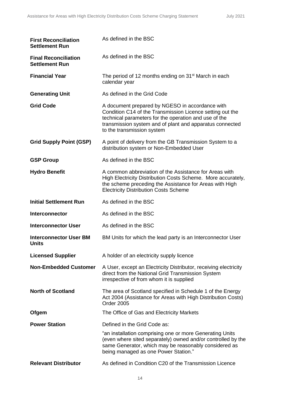| <b>First Reconciliation</b><br><b>Settlement Run</b> | As defined in the BSC                                                                                                                                                                                                                                           |
|------------------------------------------------------|-----------------------------------------------------------------------------------------------------------------------------------------------------------------------------------------------------------------------------------------------------------------|
| <b>Final Reconciliation</b><br><b>Settlement Run</b> | As defined in the BSC                                                                                                                                                                                                                                           |
| <b>Financial Year</b>                                | The period of 12 months ending on 31 <sup>st</sup> March in each<br>calendar year                                                                                                                                                                               |
| <b>Generating Unit</b>                               | As defined in the Grid Code                                                                                                                                                                                                                                     |
| <b>Grid Code</b>                                     | A document prepared by NGESO in accordance with<br>Condition C14 of the Transmission Licence setting out the<br>technical parameters for the operation and use of the<br>transmission system and of plant and apparatus connected<br>to the transmission system |
| <b>Grid Supply Point (GSP)</b>                       | A point of delivery from the GB Transmission System to a<br>distribution system or Non-Embedded User                                                                                                                                                            |
| <b>GSP Group</b>                                     | As defined in the BSC                                                                                                                                                                                                                                           |
| <b>Hydro Benefit</b>                                 | A common abbreviation of the Assistance for Areas with<br>High Electricity Distribution Costs Scheme. More accurately,<br>the scheme preceding the Assistance for Areas with High<br><b>Electricity Distribution Costs Scheme</b>                               |
| <b>Initial Settlement Run</b>                        | As defined in the BSC                                                                                                                                                                                                                                           |
| <b>Interconnector</b>                                | As defined in the BSC                                                                                                                                                                                                                                           |
| <b>Interconnector User</b>                           | As defined in the BSC                                                                                                                                                                                                                                           |
| <b>Interconnector User BM</b><br><b>Units</b>        | BM Units for which the lead party is an Interconnector User                                                                                                                                                                                                     |
| <b>Licensed Supplier</b>                             | A holder of an electricity supply licence                                                                                                                                                                                                                       |
| <b>Non-Embedded Customer</b>                         | A User, except an Electricity Distributor, receiving electricity<br>direct from the National Grid Transmission System<br>irrespective of from whom it is supplied                                                                                               |
| <b>North of Scotland</b>                             | The area of Scotland specified in Schedule 1 of the Energy<br>Act 2004 (Assistance for Areas with High Distribution Costs)<br><b>Order 2005</b>                                                                                                                 |
| Ofgem                                                | The Office of Gas and Electricity Markets                                                                                                                                                                                                                       |
| <b>Power Station</b>                                 | Defined in the Grid Code as:                                                                                                                                                                                                                                    |
|                                                      | "an installation comprising one or more Generating Units<br>(even where sited separately) owned and/or controlled by the<br>same Generator, which may be reasonably considered as<br>being managed as one Power Station."                                       |
| <b>Relevant Distributor</b>                          | As defined in Condition C20 of the Transmission Licence                                                                                                                                                                                                         |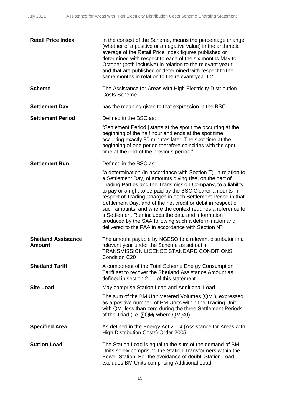| <b>Retail Price Index</b>                   | In the context of the Scheme, means the percentage change<br>(whether of a positive or a negative value) in the arithmetic<br>average of the Retail Price Index figures published or<br>determined with respect to each of the six months May to<br>October (both inclusive) in relation to the relevant year t-1<br>and that are published or determined with respect to the<br>same months in relation to the relevant year t-2                                                                                                                                                                                              |
|---------------------------------------------|--------------------------------------------------------------------------------------------------------------------------------------------------------------------------------------------------------------------------------------------------------------------------------------------------------------------------------------------------------------------------------------------------------------------------------------------------------------------------------------------------------------------------------------------------------------------------------------------------------------------------------|
| <b>Scheme</b>                               | The Assistance for Areas with High Electricity Distribution<br><b>Costs Scheme</b>                                                                                                                                                                                                                                                                                                                                                                                                                                                                                                                                             |
| <b>Settlement Day</b>                       | has the meaning given to that expression in the BSC                                                                                                                                                                                                                                                                                                                                                                                                                                                                                                                                                                            |
| <b>Settlement Period</b>                    | Defined in the BSC as:                                                                                                                                                                                                                                                                                                                                                                                                                                                                                                                                                                                                         |
|                                             | "Settlement Period j starts at the spot time occurring at the<br>beginning of the half hour and ends at the spot time<br>occurring exactly 30 minutes later. The spot time at the<br>beginning of one period therefore coincides with the spot<br>time at the end of the previous period."                                                                                                                                                                                                                                                                                                                                     |
| <b>Settlement Run</b>                       | Defined in the BSC as:                                                                                                                                                                                                                                                                                                                                                                                                                                                                                                                                                                                                         |
|                                             | "a determination (in accordance with Section T), in relation to<br>a Settlement Day, of amounts giving rise, on the part of<br>Trading Parties and the Transmission Company, to a liability<br>to pay or a right to be paid by the BSC Clearer amounts in<br>respect of Trading Charges in each Settlement Period in that<br>Settlement Day, and of the net credit or debit in respect of<br>such amounts; and where the context requires a reference to<br>a Settlement Run includes the data and information<br>produced by the SAA following such a determination and<br>delivered to the FAA in accordance with Section N" |
| <b>Shetland Assistance</b><br><b>Amount</b> | The amount payable by NGESO to a relevant distributor in a<br>relevant year under the Scheme as set out in<br>TRANSMISSION LICENCE STANDARD CONDITIONS<br>Condition C20                                                                                                                                                                                                                                                                                                                                                                                                                                                        |
| <b>Shetland Tariff</b>                      | A component of the Total Scheme Energy Consumption<br>Tariff set to recover the Shetland Assistance Amount as<br>defined in section 2.11 of this statement                                                                                                                                                                                                                                                                                                                                                                                                                                                                     |
| <b>Site Load</b>                            | May comprise Station Load and Additional Load                                                                                                                                                                                                                                                                                                                                                                                                                                                                                                                                                                                  |
|                                             | The sum of the BM Unit Metered Volumes $(QM_{ij})$ , expressed<br>as a positive number, of BM Units within the Trading Unit<br>with QM <sub>ii</sub> less than zero during the three Settlement Periods<br>of the Triad (i.e. $\Sigma QM_{ij}$ where $QM_{ij}$ <0)                                                                                                                                                                                                                                                                                                                                                             |
| <b>Specified Area</b>                       | As defined in the Energy Act 2004 (Assistance for Areas with<br>High Distribution Costs) Order 2005                                                                                                                                                                                                                                                                                                                                                                                                                                                                                                                            |
| <b>Station Load</b>                         | The Station Load is equal to the sum of the demand of BM<br>Units solely comprising the Station Transformers within the<br>Power Station. For the avoidance of doubt, Station Load<br>excludes BM Units comprising Additional Load                                                                                                                                                                                                                                                                                                                                                                                             |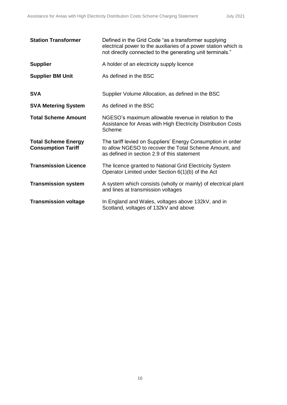| <b>Station Transformer</b>                              | Defined in the Grid Code "as a transformer supplying<br>electrical power to the auxiliaries of a power station which is<br>not directly connected to the generating unit terminals." |
|---------------------------------------------------------|--------------------------------------------------------------------------------------------------------------------------------------------------------------------------------------|
| <b>Supplier</b>                                         | A holder of an electricity supply licence                                                                                                                                            |
| <b>Supplier BM Unit</b>                                 | As defined in the BSC                                                                                                                                                                |
| <b>SVA</b>                                              | Supplier Volume Allocation, as defined in the BSC                                                                                                                                    |
| <b>SVA Metering System</b>                              | As defined in the BSC                                                                                                                                                                |
| <b>Total Scheme Amount</b>                              | NGESO's maximum allowable revenue in relation to the<br>Assistance for Areas with High Electricity Distribution Costs<br>Scheme                                                      |
| <b>Total Scheme Energy</b><br><b>Consumption Tariff</b> | The tariff levied on Suppliers' Energy Consumption in order<br>to allow NGESO to recover the Total Scheme Amount, and<br>as defined in section 2.9 of this statement                 |
| <b>Transmission Licence</b>                             | The licence granted to National Grid Electricity System<br>Operator Limited under Section 6(1)(b) of the Act                                                                         |
| <b>Transmission system</b>                              | A system which consists (wholly or mainly) of electrical plant<br>and lines at transmission voltages                                                                                 |
| <b>Transmission voltage</b>                             | In England and Wales, voltages above 132kV, and in<br>Scotland, voltages of 132kV and above                                                                                          |